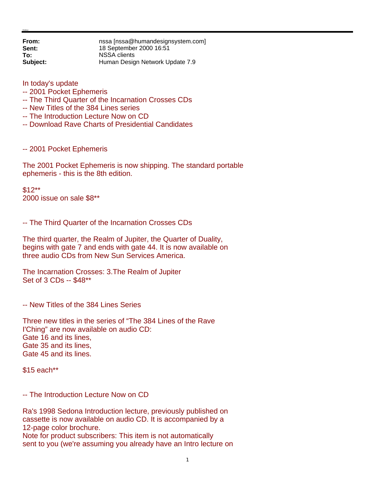**From: nssa** [nssa@humandesignsystem.com]<br> **Sent:** 18 September 2000 16:51 **Sent:** 18 September 2000 16:51 **To:** NSSA clients **Subject:** Human Design Network Update 7.9

In today's update

## -- 2001 Pocket Ephemeris

- -- The Third Quarter of the Incarnation Crosses CDs
- -- New Titles of the 384 Lines series
- -- The Introduction Lecture Now on CD
- -- Download Rave Charts of Presidential Candidates

-- 2001 Pocket Ephemeris

The 2001 Pocket Ephemeris is now shipping. The standard portable ephemeris - this is the 8th edition.

\$12\*\* 2000 issue on sale \$8\*\*

-- The Third Quarter of the Incarnation Crosses CDs

The third quarter, the Realm of Jupiter, the Quarter of Duality, begins with gate 7 and ends with gate 44. It is now available on three audio CDs from New Sun Services America.

The Incarnation Crosses: 3.The Realm of Jupiter Set of 3 CDs -- \$48\*\*

-- New Titles of the 384 Lines Series

Three new titles in the series of "The 384 Lines of the Rave I'Ching" are now available on audio CD: Gate 16 and its lines, Gate 35 and its lines, Gate 45 and its lines.

\$15 each\*\*

-- The Introduction Lecture Now on CD

Ra's 1998 Sedona Introduction lecture, previously published on cassette is now available on audio CD. It is accompanied by a 12-page color brochure.

Note for product subscribers: This item is not automatically sent to you (we're assuming you already have an Intro lecture on